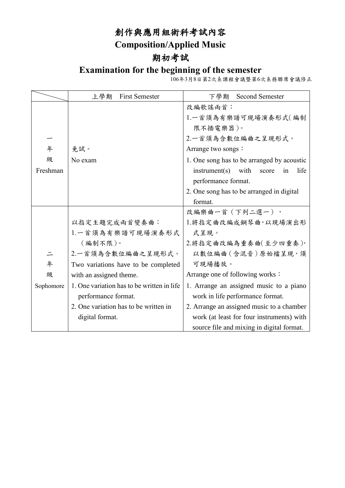# 創作與應用組術科考試內容 **Composition/Applied Music**

## 期初考試

#### **Examination for the beginning of the semester**

106年3月8日第2次系課程會議暨第6次系務聯席會議修正

|           | <b>First Semester</b><br>上學期                | <b>Second Semester</b><br>下學期               |
|-----------|---------------------------------------------|---------------------------------------------|
|           |                                             | 改編歌謠兩首:                                     |
|           |                                             | 1.一首須為有樂譜可現場演奏形式(編制                         |
|           |                                             | 限不插電樂器)。                                    |
|           |                                             | 2.一首須為含數位編曲之呈現形式。                           |
| 年         | 免試。                                         | Arrange two songs:                          |
| 級         | No exam                                     | 1. One song has to be arranged by acoustic  |
| Freshman  |                                             | life<br>$instrument(s)$ with<br>score<br>in |
|           |                                             | performance format.                         |
|           |                                             | 2. One song has to be arranged in digital   |
|           |                                             | format.                                     |
|           |                                             | 改編樂曲一首 (下列二選一),                             |
|           | 以指定主題完成兩首變奏曲:                               | 1.將指定曲改編成鋼琴曲,以現場演出形                         |
|           | 1.一首須為有樂譜可現場演奏形式                            | 式呈現。                                        |
|           | (編制不限)。                                     | 2.將指定曲改編為重奏曲(至少四重奏),                        |
| $\equiv$  | 2.一首須為含數位編曲之呈現形式。                           | 以數位編曲 (含混音)原始檔呈現,須                          |
| 年         | Two variations have to be completed         | 可現場播放。                                      |
| 級         | with an assigned theme.                     | Arrange one of following works :            |
| Sophomore | 1. One variation has to be written in life. | 1. Arrange an assigned music to a piano     |
|           | performance format.                         | work in life performance format.            |
|           | 2. One variation has to be written in       | 2. Arrange an assigned music to a chamber   |
|           | digital format.                             | work (at least for four instruments) with   |
|           |                                             | source file and mixing in digital format.   |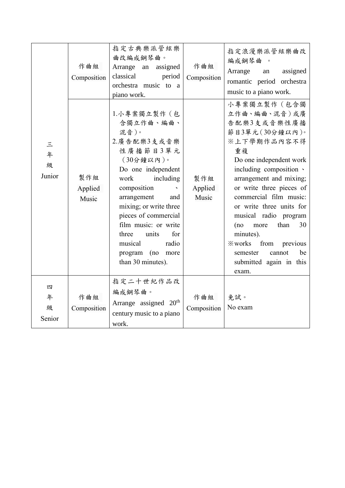|                   | 作曲組<br>Composition      | 指定古典樂派管絃樂<br>曲改編成鋼琴曲。<br>Arrange an assigned<br>classical<br>period<br>orchestra music to a<br>piano work.                                                                                                                                                                                                                                                     | 作曲組<br>Composition      | 指定浪漫樂派管絃樂曲改<br>編成鋼琴曲 。<br>Arrange<br>assigned<br>an<br>romantic period orchestra<br>music to a piano work.                                                                                                                                                                                                                                                                                                                                                                                                                                                                                                                    |
|-------------------|-------------------------|----------------------------------------------------------------------------------------------------------------------------------------------------------------------------------------------------------------------------------------------------------------------------------------------------------------------------------------------------------------|-------------------------|-------------------------------------------------------------------------------------------------------------------------------------------------------------------------------------------------------------------------------------------------------------------------------------------------------------------------------------------------------------------------------------------------------------------------------------------------------------------------------------------------------------------------------------------------------------------------------------------------------------------------------|
| 三年<br>級<br>Junior | 製作組<br>Applied<br>Music | 1.小專案獨立製作 (包<br>含獨立作曲、編曲、<br>混音)。<br>2.廣告配樂3支或音樂<br>性廣播節目3單元<br>$(30)$ 鐘以內)。<br>Do one independent<br>including<br>work<br>composition<br>$\mathcal{N}_{\mathcal{S}}$<br>arrangement<br>and<br>mixing; or write three<br>pieces of commercial<br>film music: or write<br>for<br>units<br>three<br>radio<br>musical<br>program (no<br>more<br>than 30 minutes). | 製作組<br>Applied<br>Music | 小專案獨立製作(包含獨<br>立作曲、編曲、混音)或廣<br>告配樂3支或音樂性廣播<br>節目3單元(30分鐘以內)。<br>※上下學期作品內容不得<br>重複<br>Do one independent work<br>including composition \<br>arrangement and mixing;<br>or write three pieces of<br>commercial film music:<br>or write three units for<br>musical radio program<br>than<br>30<br>(no<br>more<br>minutes).<br><b>Example 3</b> Example 3 Example 3 Example 3 Example 3 Example 3 Example 3 Example 3 Example 3 Example 3 Example 3 Example 3 Example 3 Example 3 Example 3 Example 3 Example 3 Example 3 Example 3 Example 3 Example 3 Example 3<br>be<br>semester<br>cannot<br>submitted again in this<br>exam. |
| 四                 |                         | 指定二十世紀作品改                                                                                                                                                                                                                                                                                                                                                      |                         |                                                                                                                                                                                                                                                                                                                                                                                                                                                                                                                                                                                                                               |
| 年<br>級<br>Senior  | 作曲組<br>Composition      | 編成鋼琴曲。<br>Arrange assigned 20 <sup>th</sup><br>century music to a piano<br>work.                                                                                                                                                                                                                                                                               | 作曲組<br>Composition      | 免試。<br>No exam                                                                                                                                                                                                                                                                                                                                                                                                                                                                                                                                                                                                                |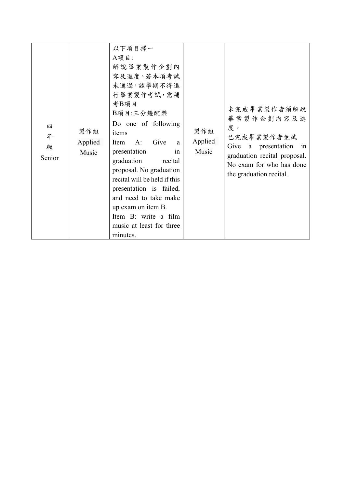| 四<br>年<br>級<br>Senior | 製作組<br>Applied<br>Music | 以下項目擇一<br>A項目:<br>解說畢業製作企劃內<br>容及進度。若本項考試<br>未通過,該學期不得進<br>行畢業製作考試,需補<br>考B項目<br>B項目:三分鐘配樂<br>Do one of following<br>items<br>Give<br>Item<br>A:<br>a<br>presentation<br>in<br>graduation<br>recital<br>proposal. No graduation<br>recital will be held if this<br>presentation is failed,<br>and need to take make<br>up exam on item B.<br>Item B: write a film<br>music at least for three<br>minutes. | 製作組<br>Applied<br>Music | 未完成畢業製作者須解說<br>畢業製作企劃內容及進<br>度。<br>已完成畢業製作者免試<br>Give<br>presentation<br><sub>a</sub><br>in<br>graduation recital proposal.<br>No exam for who has done<br>the graduation recital. |
|-----------------------|-------------------------|-----------------------------------------------------------------------------------------------------------------------------------------------------------------------------------------------------------------------------------------------------------------------------------------------------------------------------------------------------------------------------------------------------------|-------------------------|------------------------------------------------------------------------------------------------------------------------------------------------------------------------------------|
|-----------------------|-------------------------|-----------------------------------------------------------------------------------------------------------------------------------------------------------------------------------------------------------------------------------------------------------------------------------------------------------------------------------------------------------------------------------------------------------|-------------------------|------------------------------------------------------------------------------------------------------------------------------------------------------------------------------------|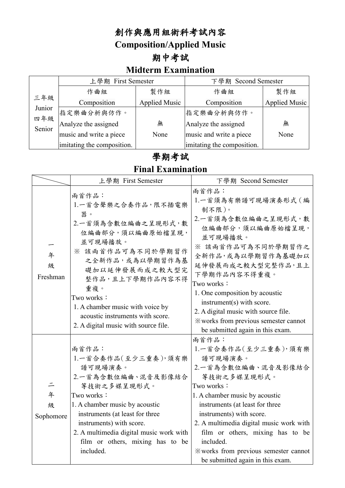#### 創作與應用組術科考試內容

**Composition/Applied Music**

## 期中考試

#### **Midterm Examination**

|               | 上學期 First Semester              |                      | 下學期 Second Semester        |                      |
|---------------|---------------------------------|----------------------|----------------------------|----------------------|
|               | 作曲組                             | 製作組                  | 作曲組                        | 製作組                  |
| 三年級           | Composition                     | <b>Applied Music</b> | Composition                | <b>Applied Music</b> |
| Junior        | 指定樂曲分析與仿作。                      |                      | 指定樂曲分析與仿作。                 |                      |
| 四年級<br>Senior | Analyze the assigned            | 無                    | Analyze the assigned       | 無                    |
|               | music and write a piece<br>None |                      | music and write a piece    | None                 |
|               | imitating the composition.      |                      | imitating the composition. |                      |

### 學期考試

**Final Examination**

|                     | 上學期 First Semester                                                                                                                                                                                                                                                                                      | 下學期 Second Semester                                                                                                                                                                                                                                                                                                                                                                                                                                                                                                                                                 |  |  |
|---------------------|---------------------------------------------------------------------------------------------------------------------------------------------------------------------------------------------------------------------------------------------------------------------------------------------------------|---------------------------------------------------------------------------------------------------------------------------------------------------------------------------------------------------------------------------------------------------------------------------------------------------------------------------------------------------------------------------------------------------------------------------------------------------------------------------------------------------------------------------------------------------------------------|--|--|
| 年<br>級<br>Freshman  | 雨首作品:<br>1.一首含聲樂之合奏作品,限不插電樂<br>器。<br>2.一首須為含數位編曲之呈現形式,數<br>位編曲部分,須以編曲原始檔呈現,<br>並可現場播放。<br>※ 該兩首作品可為不同於學期習作<br>之全新作品,或為以學期習作為基<br>礎加以延伸發展而成之較大型完<br>整作品,且上下學期作品內容不得<br>重複。<br>Two works:<br>1. A chamber music with voice by<br>acoustic instruments with score.<br>2. A digital music with source file. | 兩首作品:<br>1.一首須為有樂譜可現場演奏形式 (編<br>制不限)。<br>2.一首須為含數位編曲之呈現形式,數<br>位編曲部分,須以編曲原始檔呈現,<br>並可現場播放。<br>※ 該兩首作品可為不同於學期習作之<br>全新作品,或為以學期習作為基礎加以<br>延伸發展而成之較大型完整作品,且上<br>下學期作品內容不得重複。<br>Two works:<br>1. One composition by acoustic<br>instrument(s) with score.<br>2. A digital music with source file.<br>*works from previous semester cannot<br>be submitted again in this exam.                                                                                                                                                                                          |  |  |
| 年<br>級<br>Sophomore | 雨首作品:<br>1.一首合奏作品(至少三重奏), 須有樂<br>譜可現場演奏。<br>2.一首為含數位編曲、混音及影像結合<br>等技術之多媒呈現形式。<br>Two works:<br>1. A chamber music by acoustic<br>instruments (at least for three<br>instruments) with score.<br>2. A multimedia digital music work with<br>film or others, mixing has to be<br>included.                | 兩首作品:<br>1.一首合奏作品(至少三重奏), 須有樂<br>譜可現場演奏。<br>2.一首為含數位編曲、混音及影像結合<br>等技術之多媒呈現形式。<br>Two works:<br>1. A chamber music by acoustic<br>instruments (at least for three<br>instruments) with score.<br>2. A multimedia digital music work with<br>film or others, mixing has to be<br>included.<br><b>Example 13</b> Example 10 and 5 Example 10 and 5 Example 10 and 5 Example 10 and 5 Example 10 and 5 Example 10 and 5 Example 10 and 5 Example 10 and 5 Example 10 and 5 Example 10 and 5 Example 10 and 5 Example 10 and 5 Examp<br>be submitted again in this exam. |  |  |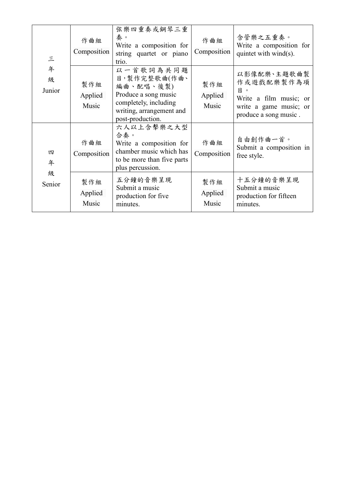| $\equiv$<br>年<br>級<br>Junior | 作曲組<br>Composition      | 弦樂四重奏或鋼琴三重<br>秦。<br>Write a composition for<br>string quartet or piano<br>trio.                                                         | 作曲組<br>Composition      | 含管樂之五重奏。<br>Write a composition for<br>quintet with wind(s).                                                |
|------------------------------|-------------------------|-----------------------------------------------------------------------------------------------------------------------------------------|-------------------------|-------------------------------------------------------------------------------------------------------------|
|                              | 製作組<br>Applied<br>Music | 以一首歌詞為共同題<br>目,製作完整歌曲(作曲、<br>編曲、配唱、後製)<br>Produce a song music<br>completely, including<br>writing, arrangement and<br>post-production. | 製作組<br>Applied<br>Music | 以影像配樂、主題歌曲製<br>作或遊戲配樂製作為項<br>目<br>Write a film music; or<br>write a game music; or<br>produce a song music. |
| 四<br>年                       | 作曲組<br>Composition      | 六人以上含擊樂之大型<br>合秦。<br>Write a composition for<br>chamber music which has<br>to be more than five parts<br>plus percussion.               | 作曲組<br>Composition      | 自由創作曲一首。<br>Submit a composition in<br>free style.                                                          |
| 級<br>Senior                  | 製作組<br>Applied<br>Music | 五分鐘的音樂呈現<br>Submit a music<br>production for five<br>minutes.                                                                           | 製作組<br>Applied<br>Music | 十五分鐘的音樂呈現<br>Submit a music<br>production for fifteen<br>minutes.                                           |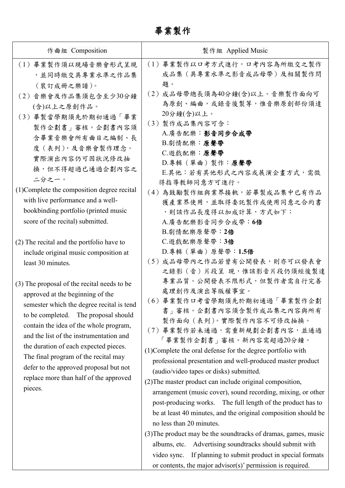畢業製作

| 製作組 Applied Music                                                                                                                                                                                                                                                                                                                                                                                                                                                                                                                                                                                                                                                                                                                                                                                                                                           |
|-------------------------------------------------------------------------------------------------------------------------------------------------------------------------------------------------------------------------------------------------------------------------------------------------------------------------------------------------------------------------------------------------------------------------------------------------------------------------------------------------------------------------------------------------------------------------------------------------------------------------------------------------------------------------------------------------------------------------------------------------------------------------------------------------------------------------------------------------------------|
| (1) 畢業製作以口考方式進行,口考內容為所繳交之製作<br>成品集 (具專業水準之影音成品母帶) 及相關製作問<br>題。                                                                                                                                                                                                                                                                                                                                                                                                                                                                                                                                                                                                                                                                                                                                                                                              |
| (2) 成品母帶總長須為40分鐘(含)以上。音樂製作面向可<br>為原創、編曲,或錄音後製等,惟音樂原創部份須達<br>20分鐘(含)以上。<br>(3) 製作成品集內容可含:<br>A.廣告配樂:影音同步合成帶<br>B.劇情配樂:原聲帶<br>C.遊戲配樂:原聲帶<br>D.專輯(單曲)製作:原聲帶<br>E.其他:若有其他形式之內容或展演企畫方式,需徵<br>得指導教師同意方可進行。                                                                                                                                                                                                                                                                                                                                                                                                                                                                                                                                                                                                                                                        |
| (4)為鼓勵製作組與業界接軌,若畢製成品集中已有作品<br>獲產業界使用,並取得委託製作或使用同意之合約書<br>,則該作品長度得以加成計算,方式如下:<br>A.廣告配樂影音同步合成帶: 6倍<br>B. 劇情配樂原聲帶: 2倍                                                                                                                                                                                                                                                                                                                                                                                                                                                                                                                                                                                                                                                                                                                                         |
| C. 遊戲配樂原聲帶: 3倍<br>D.專輯(單曲)原聲帶:1.5倍<br>(5) 成品母帶內之作品若曾有公開發表,則亦可以發表會<br>之錄影(音)片段呈 現,惟該影音片段仍須經後製達                                                                                                                                                                                                                                                                                                                                                                                                                                                                                                                                                                                                                                                                                                                                                               |
| 專業品質。公開發表不限形式,但製作者需自行完善<br>處理創作及演出等版權事宜。<br>(6) 畢業製作口考當學期須先於期初通過「畢業製作企劃<br>書」審核。企劃書內容須含製作成品集之內容與所有<br>製作面向 (表列)。實際製作內容不可修改抽換。<br>(7) 畢業製作若未通過,需重新規劃企劃書內容,並通過<br>「畢業製作企劃書」審核。新內容需超過20分鐘。<br>(1) Complete the oral defense for the degree portfolio with<br>professional presentation and well-produced master product<br>(audio/video tapes or disks) submitted.<br>(2) The master product can include original composition,<br>arrangement (music cover), sound recording, mixing, or other<br>post-producing works. The full length of the product has to<br>be at least 40 minutes, and the original composition should be<br>no less than 20 minutes.<br>(3) The product may be the soundtracks of dramas, games, music<br>Advertising soundtracks should submit with<br>albums, etc.<br>If planning to submit product in special formats<br>video sync. |
|                                                                                                                                                                                                                                                                                                                                                                                                                                                                                                                                                                                                                                                                                                                                                                                                                                                             |

or contents, the major advisor(s)' permission is required.